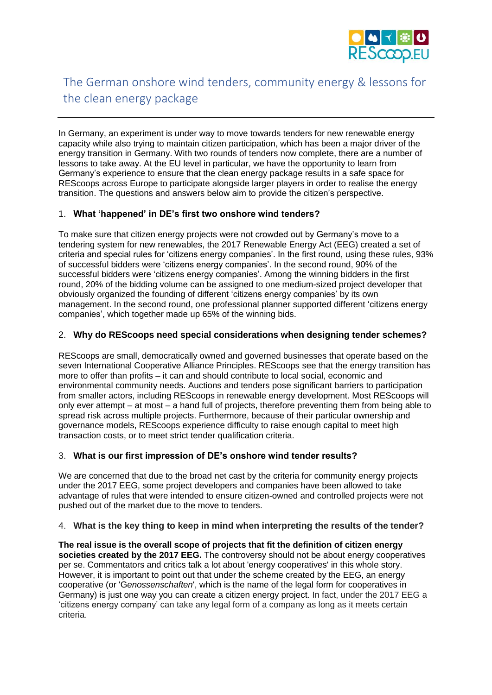

# The German onshore wind tenders, community energy & lessons for the clean energy package

In Germany, an experiment is under way to move towards tenders for new renewable energy capacity while also trying to maintain citizen participation, which has been a major driver of the energy transition in Germany. With two rounds of tenders now complete, there are a number of lessons to take away. At the EU level in particular, we have the opportunity to learn from Germany's experience to ensure that the clean energy package results in a safe space for REScoops across Europe to participate alongside larger players in order to realise the energy transition. The questions and answers below aim to provide the citizen's perspective.

## 1. **What 'happened' in DE's first two onshore wind tenders?**

To make sure that citizen energy projects were not crowded out by Germany's move to a tendering system for new renewables, the 2017 Renewable Energy Act (EEG) created a set of criteria and special rules for 'citizens energy companies'. In the first round, using these rules, 93% of successful bidders were 'citizens energy companies'. In the second round, 90% of the successful bidders were 'citizens energy companies'. Among the winning bidders in the first round, 20% of the bidding volume can be assigned to one medium-sized project developer that obviously organized the founding of different 'citizens energy companies' by its own management. In the second round, one professional planner supported different 'citizens energy companies', which together made up 65% of the winning bids.

### 2. **Why do REScoops need special considerations when designing tender schemes?**

REScoops are small, democratically owned and governed businesses that operate based on the seven International Cooperative Alliance Principles. REScoops see that the energy transition has more to offer than profits – it can and should contribute to local social, economic and environmental community needs. Auctions and tenders pose significant barriers to participation from smaller actors, including REScoops in renewable energy development. Most REScoops will only ever attempt – at most – a hand full of projects, therefore preventing them from being able to spread risk across multiple projects. Furthermore, because of their particular ownership and governance models, REScoops experience difficulty to raise enough capital to meet high transaction costs, or to meet strict tender qualification criteria.

## 3. **What is our first impression of DE's onshore wind tender results?**

We are concerned that due to the broad net cast by the criteria for community energy projects under the 2017 EEG, some project developers and companies have been allowed to take advantage of rules that were intended to ensure citizen-owned and controlled projects were not pushed out of the market due to the move to tenders.

### 4. **What is the key thing to keep in mind when interpreting the results of the tender?**

**The real issue is the overall scope of projects that fit the definition of citizen energy societies created by the 2017 EEG.** The controversy should not be about energy cooperatives per se. Commentators and critics talk a lot about 'energy cooperatives' in this whole story. However, it is important to point out that under the scheme created by the EEG, an energy cooperative (or 'G*enossenschaften*', which is the name of the legal form for cooperatives in Germany) is just one way you can create a citizen energy project. In fact, under the 2017 EEG a 'citizens energy company' can take any legal form of a company as long as it meets certain criteria.